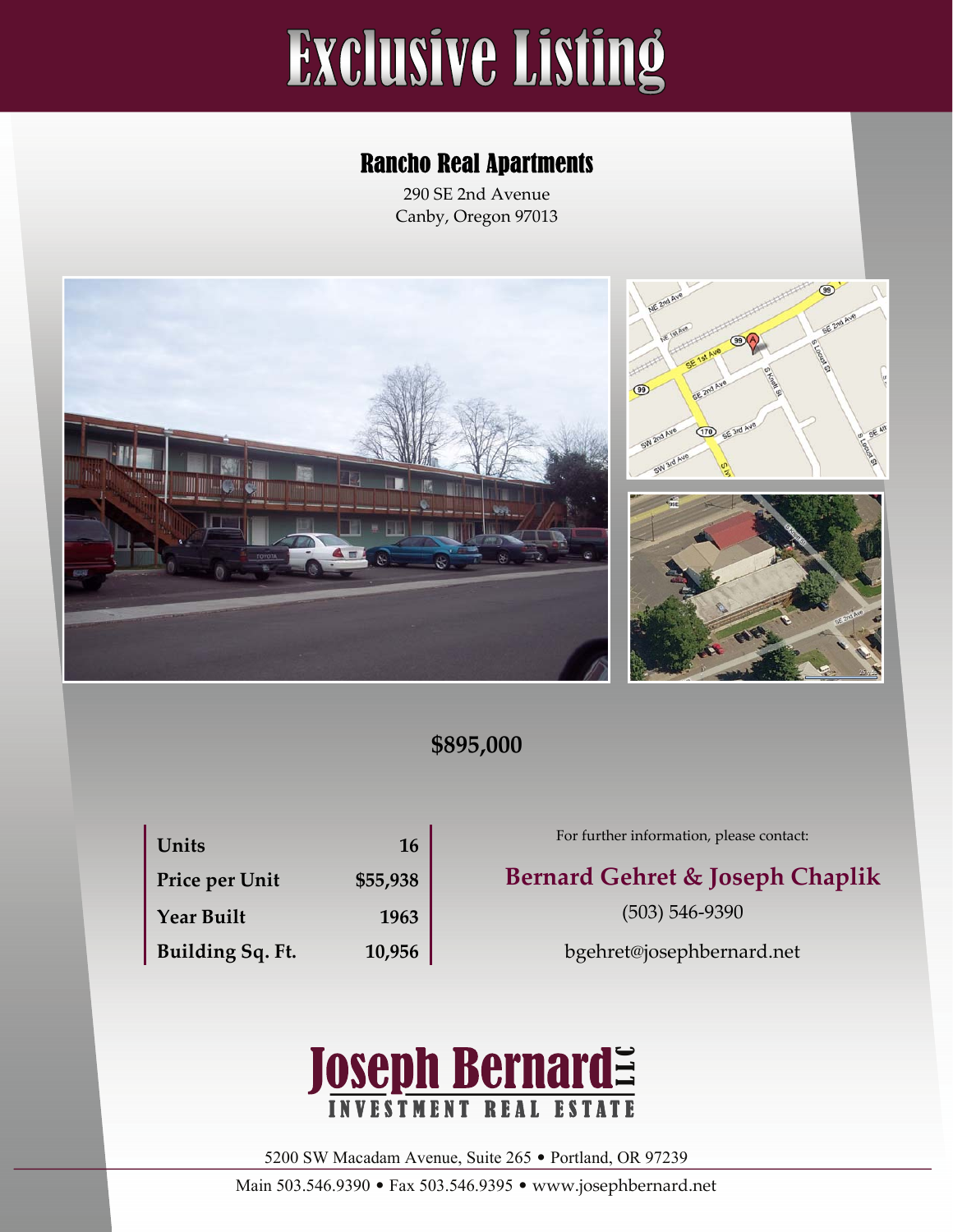# **Exclusive Listing**

#### Rancho Real Apartments

290 SE 2nd Avenue Canby, Oregon 97013







#### **\$895,000**

| Units             | 16       |
|-------------------|----------|
| Price per Unit    | \$55,938 |
| <b>Year Built</b> | 1963     |
| Building Sq. Ft.  | 10,956   |

#### For further information, please contact:

#### **Price per Unit \$55,938 Bernard Gehret & Joseph Chaplik**

(503) 546‐9390

bgehret@josephbernard.net



5200 SW Macadam Avenue, Suite 265 • Portland, OR 97239

Main 503.546.9390 • Fax 503.546.9395 • www.josephbernard.net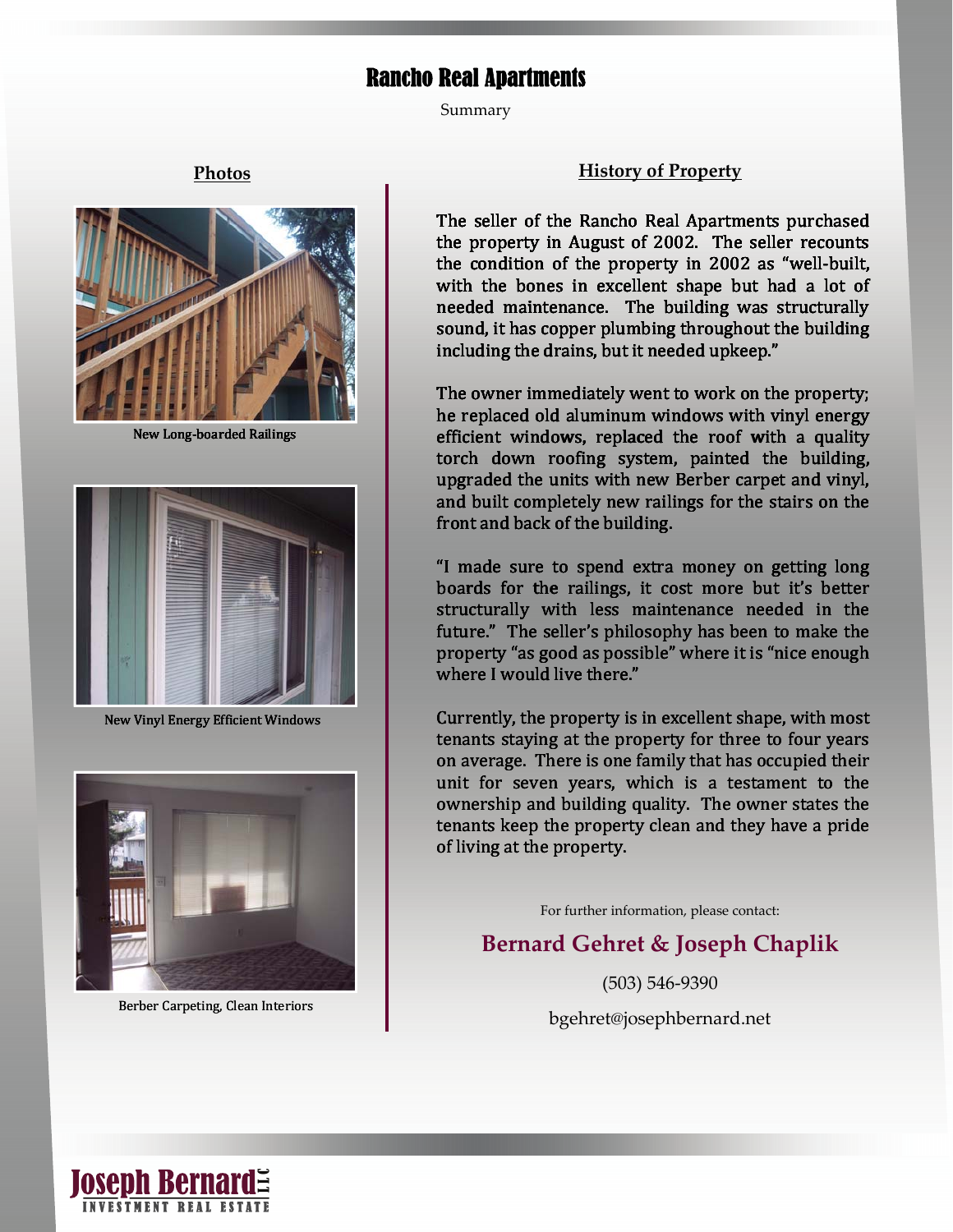#### Rancho Real Apartments

Summary



**New Long-boarded Railings** 



New Vinyl Energy Efficient Windows



Berber Carpeting, Clean Interiors

#### **Photos History of Property**

The seller of the Rancho Real Apartments purchased the property in August of 2002. The seller recounts the condition of the property in 2002 as "well‐built, with the bones in excellent shape but had a lot of needed maintenance. The building was structurally sound, it has copper plumbing throughout the building including the drains, but it needed upkeep."

The owner immediately went to work on the property; he replaced old aluminum windows with vinyl energy New Long-boarded Railings efficient windows, replaced the roof with a quality<br>torch down roofing system, painted the building, upgraded the units with new Berber carpet and vinyl, and built completely new railings for the stairs on the front and back of the building.

> "I made sure to spend extra money on getting long boards for the railings, it cost more but it's better structurally with less maintenance needed in the future." The seller's philosophy has been to make the property "as good as possible" where it is "nice enough where I would live there."

> Currently, the property is in excellent shape, with most tenants staying at the property for three to four years on average. There is one family that has occupied their unit for seven years, which is a testament to the ownership and building quality. The owner states the tenants keep the property clean and they have a pride of living at the property.

> > For further information, please contact:

#### **Bernard Gehret & Joseph Chaplik**

(503) 546‐9390

bgehret@josephbernard.net

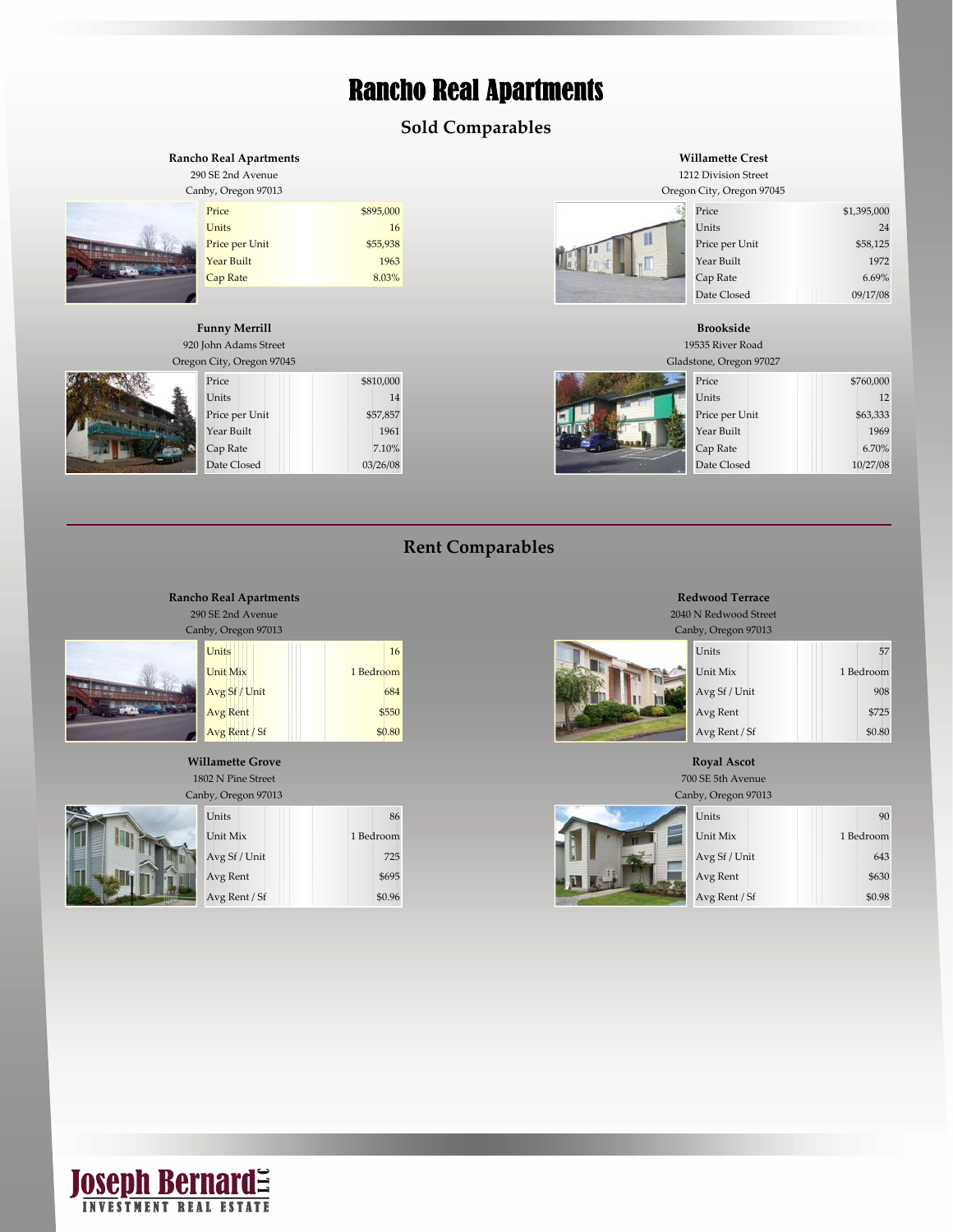### Rancho Real Apartments

#### **Sold Comparables**

#### Price \$1,395,000 \$895,000 \$895,000 \$1,395,000 \$1,395,000 \$1,395,000 \$1,395,000 \$1,395,000 \$1,395,000 \$1,395,000 Units 24 Units 21 Units 21 Units 21 Units 21 Units 21 Units 21 Units 21 Units 21 Units 21 Units 21 Units 21 Units 21 Units 21 Units 21 Units 21 Units 21 Units 21 Units 21 Units 21 Units 21 Units 21 Units 21 Units 21 Units Price per Unit \$55,938 \$55,938 \$58,125 **Year Built 1963 New York 1963 Accord 1963** New York 1972  $\epsilon$  Cap Rate 6.69% and 8.03% Cap Rate 6.69% **Rancho Real Apartments** 290 SE 2nd Avenue **Willamette Crest** 1212 Division Street Canby, Oregon 97013 Oregon City, Oregon 97045 Date Closed 09/17/08 19535 River Road **Funny Merrill** 920 John Adams Street **Brookside**



|   | Oregon City, Oregon 97045 |           | Gladstone, Oregon 97027 |           |
|---|---------------------------|-----------|-------------------------|-----------|
| 壑 | Price                     | \$810,000 | Price                   | \$760,000 |
|   | Units                     | 14        | Units                   | 12        |
|   | Price per Unit            | \$57,857  | Price per Unit          | \$63,333  |
|   | Year Built                | 1961      | Year Built              | 1969      |
|   | Cap Rate                  | 7.10%     | Cap Rate                | 6.70%     |
|   | Date Closed               | 03/26/08  | Date Closed             | 10/27/08  |



| City, Oregon 97045 |           | Gladstone, Oregon 97027 |           |
|--------------------|-----------|-------------------------|-----------|
| Price              | \$810,000 | Price                   | \$760,000 |
| Units              | 14        | Units                   | 12        |
| Price per Unit     | \$57,857  | Price per Unit          | \$63,333  |
| Year Built         | 1961      | Year Built              | 1969      |
| Cap Rate           | 7.10%     | Cap Rate                | 6.70%     |
| Date Closed        | 03/26/08  | Date Closed             | 10/27/08  |

#### **Rent Comparables**



| Units                           |
|---------------------------------|
| Unit Mix                        |
| Avg Sf / Unit                   |
| Avg Rent                        |
| $\Lambda$ van $\Gamma$ ont / Sf |

#### **Willamette Grove**

1802 N Pine Street Canby, Oregon 97013

**Rancho Real Apartments** 290 SE 2nd Avenue



| ulamette Grove                 |           | ROYAL ASCOT                    |           |  |
|--------------------------------|-----------|--------------------------------|-----------|--|
| 802 N Pine Street              |           | 700 SE 5th Avenue              |           |  |
| inby, Oregon 97013             |           | Canby, Oregon 97013            |           |  |
| Units                          | 86        | Units                          | 90        |  |
| Unit Mix                       | 1 Bedroom | Unit Mix                       | 1 Bedroom |  |
| Avg Sf / Unit                  | 725       | Avg Sf / Unit                  | 643       |  |
| Avg Rent                       | \$695     | Avg Rent                       | \$630     |  |
| $Area$ D <sub>ont</sub> ( $Cf$ | CDOC      | $Area$ D <sub>ont</sub> ( $Cf$ | $CD$ 00   |  |

#### **Redwood Terrace**

2040 N Redwood Street

| yy, Oregon 97013 |           | Canby, Oregon 97013 |           |
|------------------|-----------|---------------------|-----------|
| Units            | 16        | <b>Units</b>        | 57        |
| Unit Mix         | 1 Bedroom | Unit Mix            | 1 Bedroom |
| Avg Sf / Unit    | 684       | Avg Sf / Unit       | 908       |
| Avg Rent         | \$550     | Avg Rent            | \$725     |
| Avg Rent / Sf    | \$0.80    | Avg Rent / Sf       | \$0.80    |
|                  |           |                     |           |

#### **Royal Ascot**



| y, Oregon 97013 | Canby, Oregon 97013 |  |               |           |
|-----------------|---------------------|--|---------------|-----------|
| Units           | 86                  |  | Units         | 90        |
| Unit Mix        | 1 Bedroom           |  | Unit Mix      | 1 Bedroom |
| Avg Sf / Unit   | 725                 |  | Avg Sf / Unit | 643       |
| Avg Rent        | \$695               |  | Avg Rent      | \$630     |
| Avg Rent / Sf   | \$0.96              |  | Avg Rent / Sf | \$0.98    |

## **JOSEPh Bernard**